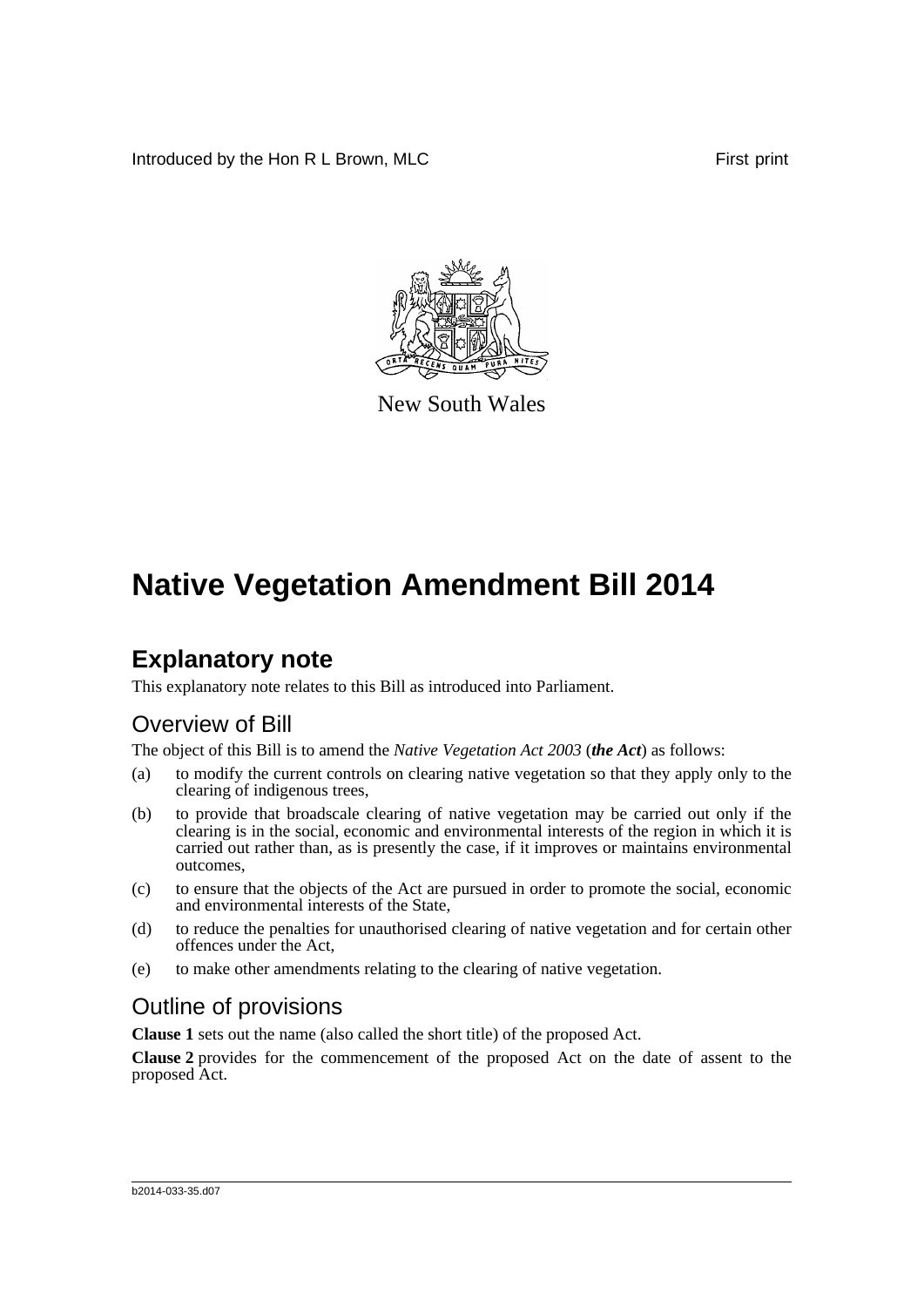Introduced by the Hon R L Brown, MLC **First print** 



New South Wales

# **Native Vegetation Amendment Bill 2014**

## **Explanatory note**

This explanatory note relates to this Bill as introduced into Parliament.

## Overview of Bill

The object of this Bill is to amend the *Native Vegetation Act 2003* (*the Act*) as follows:

- (a) to modify the current controls on clearing native vegetation so that they apply only to the clearing of indigenous trees,
- (b) to provide that broadscale clearing of native vegetation may be carried out only if the clearing is in the social, economic and environmental interests of the region in which it is carried out rather than, as is presently the case, if it improves or maintains environmental outcomes,
- (c) to ensure that the objects of the Act are pursued in order to promote the social, economic and environmental interests of the State,
- (d) to reduce the penalties for unauthorised clearing of native vegetation and for certain other offences under the Act,
- (e) to make other amendments relating to the clearing of native vegetation.

## Outline of provisions

**Clause 1** sets out the name (also called the short title) of the proposed Act.

**Clause 2** provides for the commencement of the proposed Act on the date of assent to the proposed Act.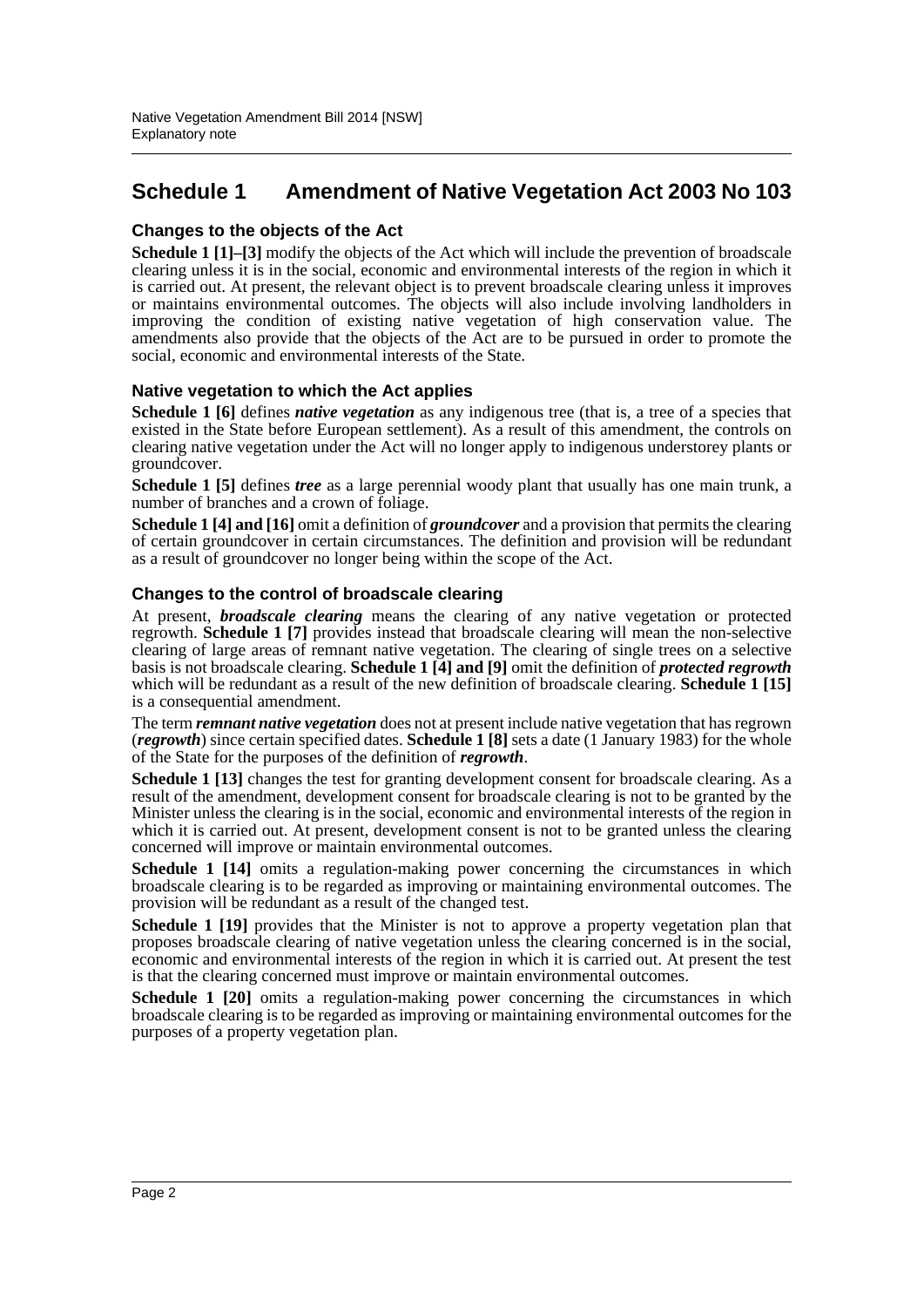## **Schedule 1 Amendment of Native Vegetation Act 2003 No 103**

#### **Changes to the objects of the Act**

**Schedule 1 [1]–[3]** modify the objects of the Act which will include the prevention of broadscale clearing unless it is in the social, economic and environmental interests of the region in which it is carried out. At present, the relevant object is to prevent broadscale clearing unless it improves or maintains environmental outcomes. The objects will also include involving landholders in improving the condition of existing native vegetation of high conservation value. The amendments also provide that the objects of the Act are to be pursued in order to promote the social, economic and environmental interests of the State.

#### **Native vegetation to which the Act applies**

**Schedule 1 [6]** defines *native vegetation* as any indigenous tree (that is, a tree of a species that existed in the State before European settlement). As a result of this amendment, the controls on clearing native vegetation under the Act will no longer apply to indigenous understorey plants or groundcover.

**Schedule 1 [5]** defines *tree* as a large perennial woody plant that usually has one main trunk, a number of branches and a crown of foliage.

**Schedule 1 [4] and [16]** omit a definition of *groundcover* and a provision that permits the clearing of certain groundcover in certain circumstances. The definition and provision will be redundant as a result of groundcover no longer being within the scope of the Act.

#### **Changes to the control of broadscale clearing**

At present, *broadscale clearing* means the clearing of any native vegetation or protected regrowth. **Schedule 1 [7]** provides instead that broadscale clearing will mean the non-selective clearing of large areas of remnant native vegetation. The clearing of single trees on a selective basis is not broadscale clearing. **Schedule 1 [4] and [9]** omit the definition of *protected regrowth* which will be redundant as a result of the new definition of broadscale clearing. **Schedule 1 [15]** is a consequential amendment.

The term *remnant native vegetation* does not at present include native vegetation that has regrown (*regrowth*) since certain specified dates. **Schedule 1 [8]** sets a date (1 January 1983) for the whole of the State for the purposes of the definition of *regrowth*.

**Schedule 1 [13]** changes the test for granting development consent for broadscale clearing. As a result of the amendment, development consent for broadscale clearing is not to be granted by the Minister unless the clearing is in the social, economic and environmental interests of the region in which it is carried out. At present, development consent is not to be granted unless the clearing concerned will improve or maintain environmental outcomes.

**Schedule 1 [14]** omits a regulation-making power concerning the circumstances in which broadscale clearing is to be regarded as improving or maintaining environmental outcomes. The provision will be redundant as a result of the changed test.

**Schedule 1 [19]** provides that the Minister is not to approve a property vegetation plan that proposes broadscale clearing of native vegetation unless the clearing concerned is in the social, economic and environmental interests of the region in which it is carried out. At present the test is that the clearing concerned must improve or maintain environmental outcomes.

**Schedule 1 [20]** omits a regulation-making power concerning the circumstances in which broadscale clearing is to be regarded as improving or maintaining environmental outcomes for the purposes of a property vegetation plan.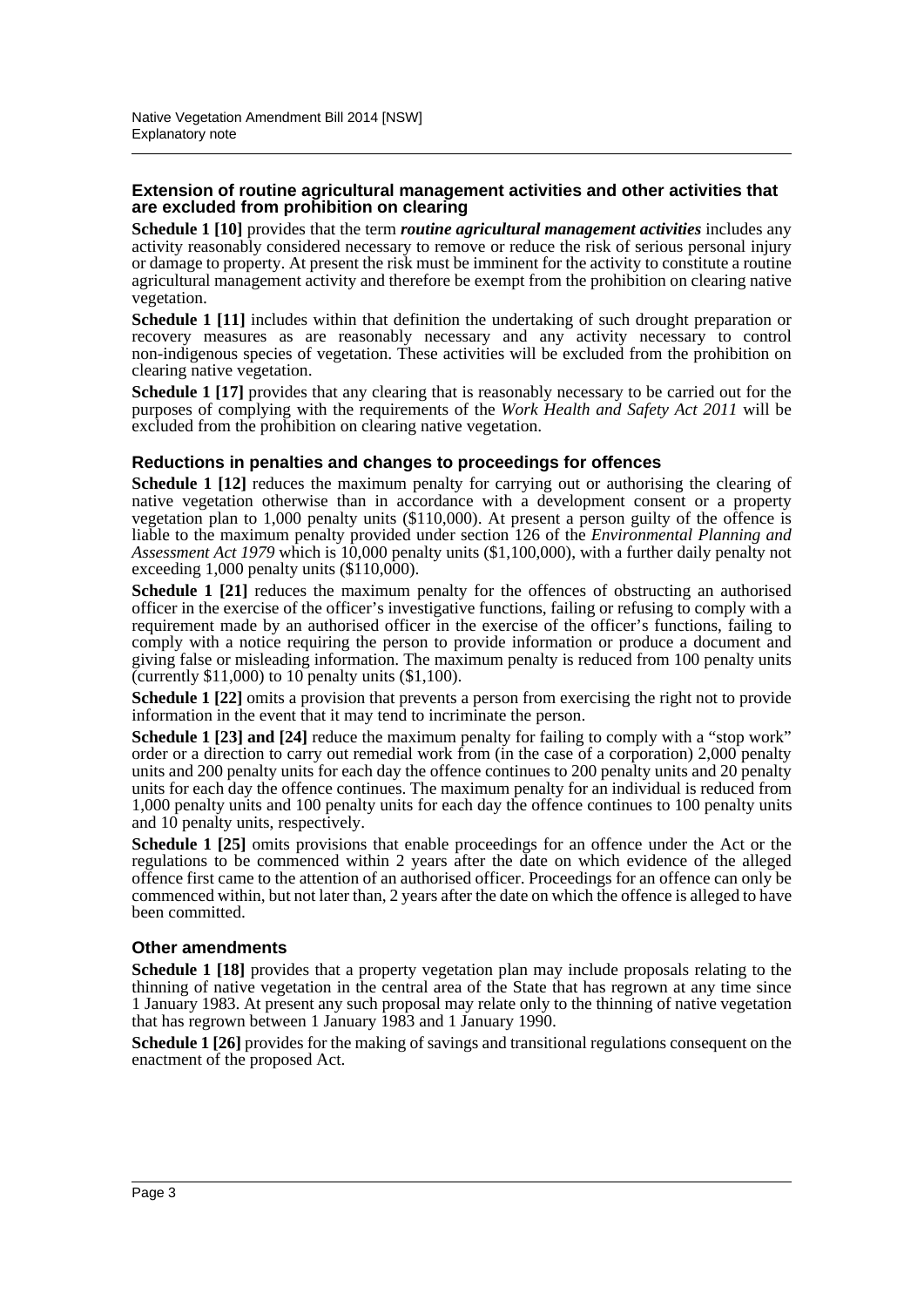#### **Extension of routine agricultural management activities and other activities that are excluded from prohibition on clearing**

**Schedule 1 [10]** provides that the term *routine agricultural management activities* includes any activity reasonably considered necessary to remove or reduce the risk of serious personal injury or damage to property. At present the risk must be imminent for the activity to constitute a routine agricultural management activity and therefore be exempt from the prohibition on clearing native vegetation.

**Schedule 1 [11]** includes within that definition the undertaking of such drought preparation or recovery measures as are reasonably necessary and any activity necessary to control non-indigenous species of vegetation. These activities will be excluded from the prohibition on clearing native vegetation.

**Schedule 1 [17]** provides that any clearing that is reasonably necessary to be carried out for the purposes of complying with the requirements of the *Work Health and Safety Act 2011* will be excluded from the prohibition on clearing native vegetation.

#### **Reductions in penalties and changes to proceedings for offences**

**Schedule 1 [12]** reduces the maximum penalty for carrying out or authorising the clearing of native vegetation otherwise than in accordance with a development consent or a property vegetation plan to 1,000 penalty units (\$110,000). At present a person guilty of the offence is liable to the maximum penalty provided under section 126 of the *Environmental Planning and Assessment Act 1979* which is 10,000 penalty units (\$1,100,000), with a further daily penalty not exceeding  $1,000$  penalty units  $(\$110,000)$ .

**Schedule 1 [21]** reduces the maximum penalty for the offences of obstructing an authorised officer in the exercise of the officer's investigative functions, failing or refusing to comply with a requirement made by an authorised officer in the exercise of the officer's functions, failing to comply with a notice requiring the person to provide information or produce a document and giving false or misleading information. The maximum penalty is reduced from 100 penalty units (currently  $$11,000$ ) to 10 penalty units  $$1,100$ ).

**Schedule 1 [22]** omits a provision that prevents a person from exercising the right not to provide information in the event that it may tend to incriminate the person.

**Schedule 1 [23] and [24]** reduce the maximum penalty for failing to comply with a "stop work" order or a direction to carry out remedial work from (in the case of a corporation) 2,000 penalty units and 200 penalty units for each day the offence continues to 200 penalty units and 20 penalty units for each day the offence continues. The maximum penalty for an individual is reduced from 1,000 penalty units and 100 penalty units for each day the offence continues to 100 penalty units and 10 penalty units, respectively.

**Schedule 1 [25]** omits provisions that enable proceedings for an offence under the Act or the regulations to be commenced within 2 years after the date on which evidence of the alleged offence first came to the attention of an authorised officer. Proceedings for an offence can only be commenced within, but not later than, 2 years after the date on which the offence is alleged to have been committed.

#### **Other amendments**

**Schedule 1 [18]** provides that a property vegetation plan may include proposals relating to the thinning of native vegetation in the central area of the State that has regrown at any time since 1 January 1983. At present any such proposal may relate only to the thinning of native vegetation that has regrown between 1 January 1983 and 1 January 1990.

**Schedule 1 [26]** provides for the making of savings and transitional regulations consequent on the enactment of the proposed Act.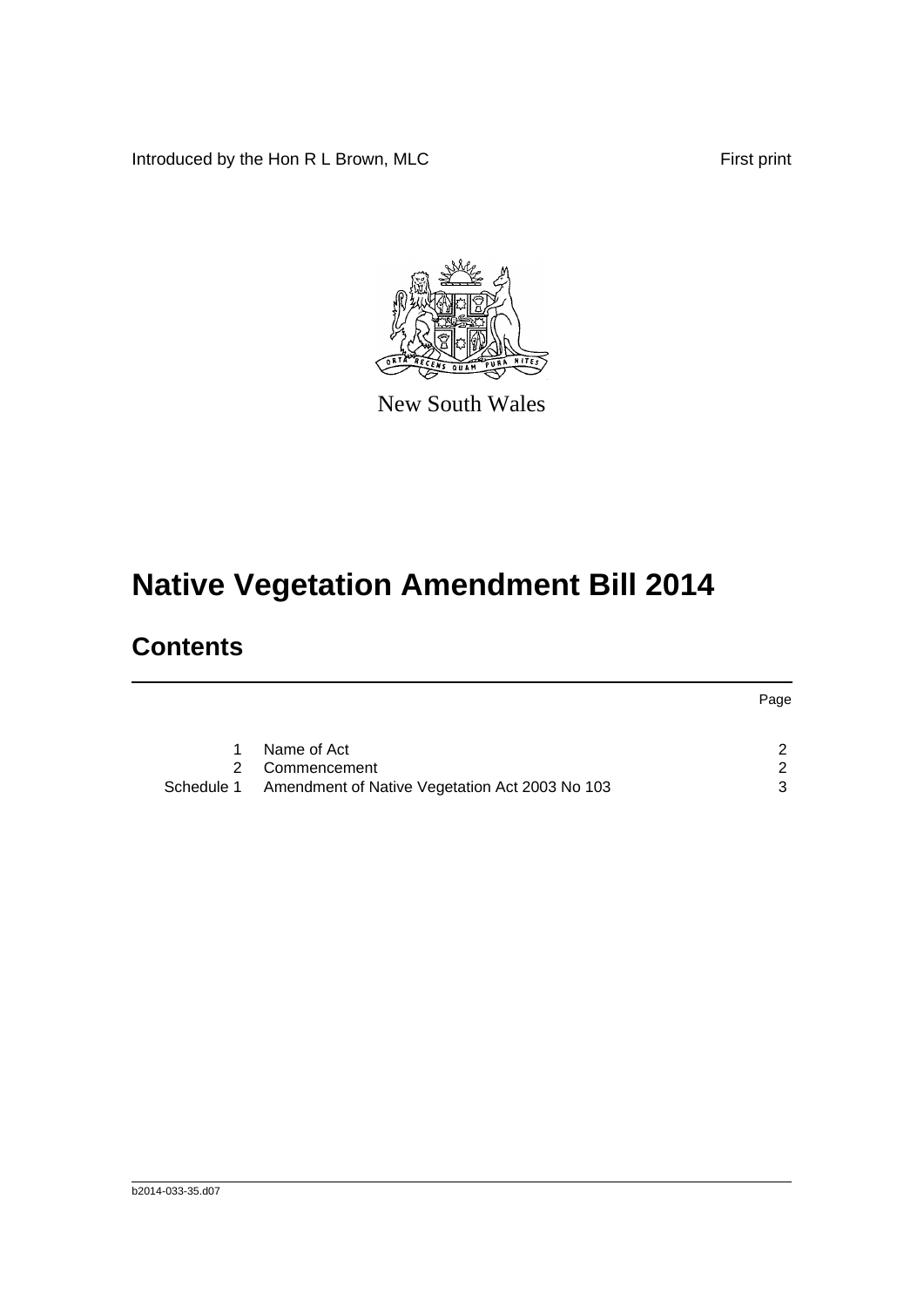Introduced by the Hon R L Brown, MLC First print

Page



New South Wales

# **Native Vegetation Amendment Bill 2014**

## **Contents**

|            |                                                | <b>Page</b> |
|------------|------------------------------------------------|-------------|
|            |                                                |             |
|            | Name of Act                                    |             |
|            | 2 Commencement                                 |             |
| Schedule 1 | Amendment of Native Vegetation Act 2003 No 103 |             |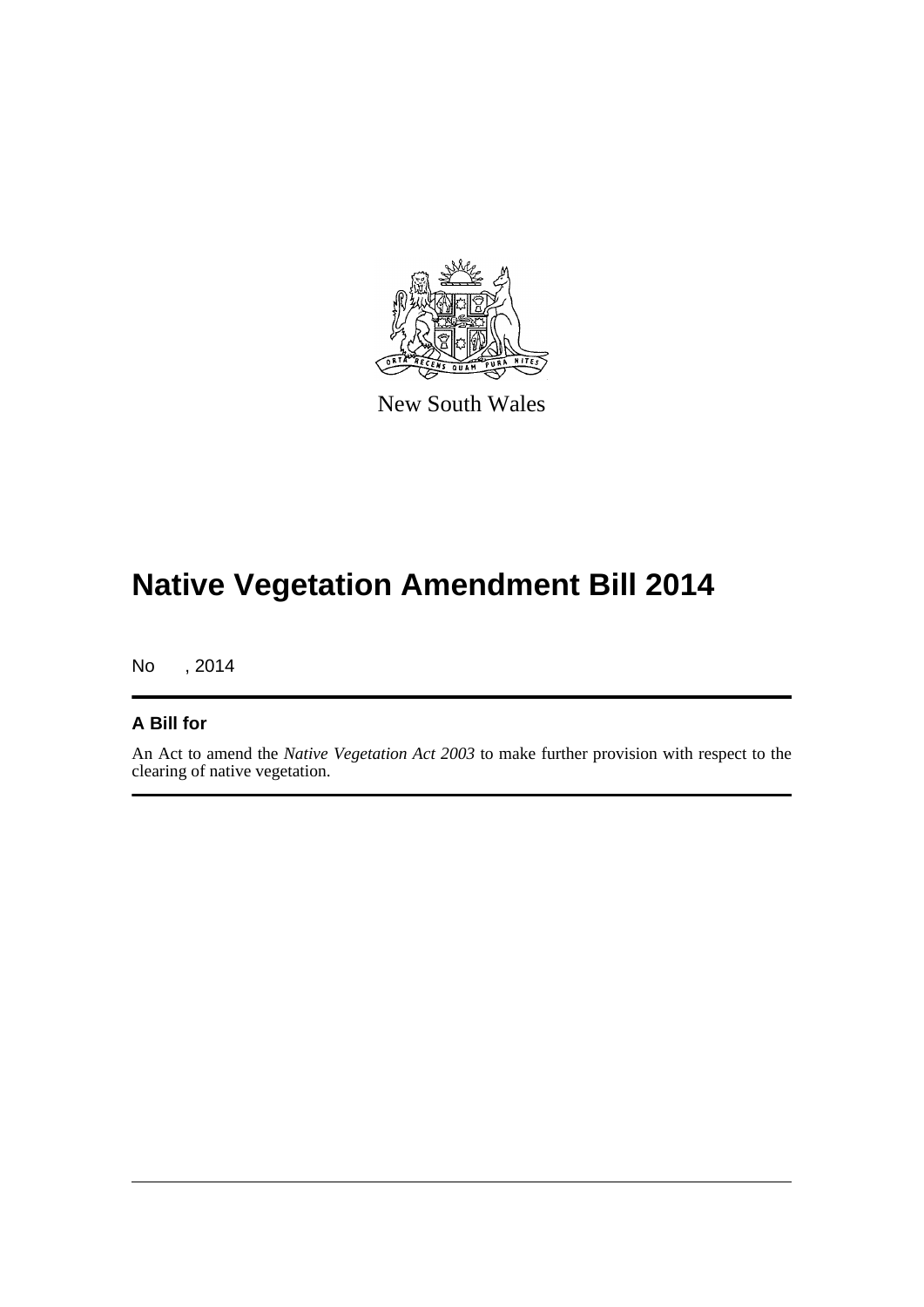

New South Wales

# **Native Vegetation Amendment Bill 2014**

No , 2014

#### **A Bill for**

An Act to amend the *Native Vegetation Act 2003* to make further provision with respect to the clearing of native vegetation.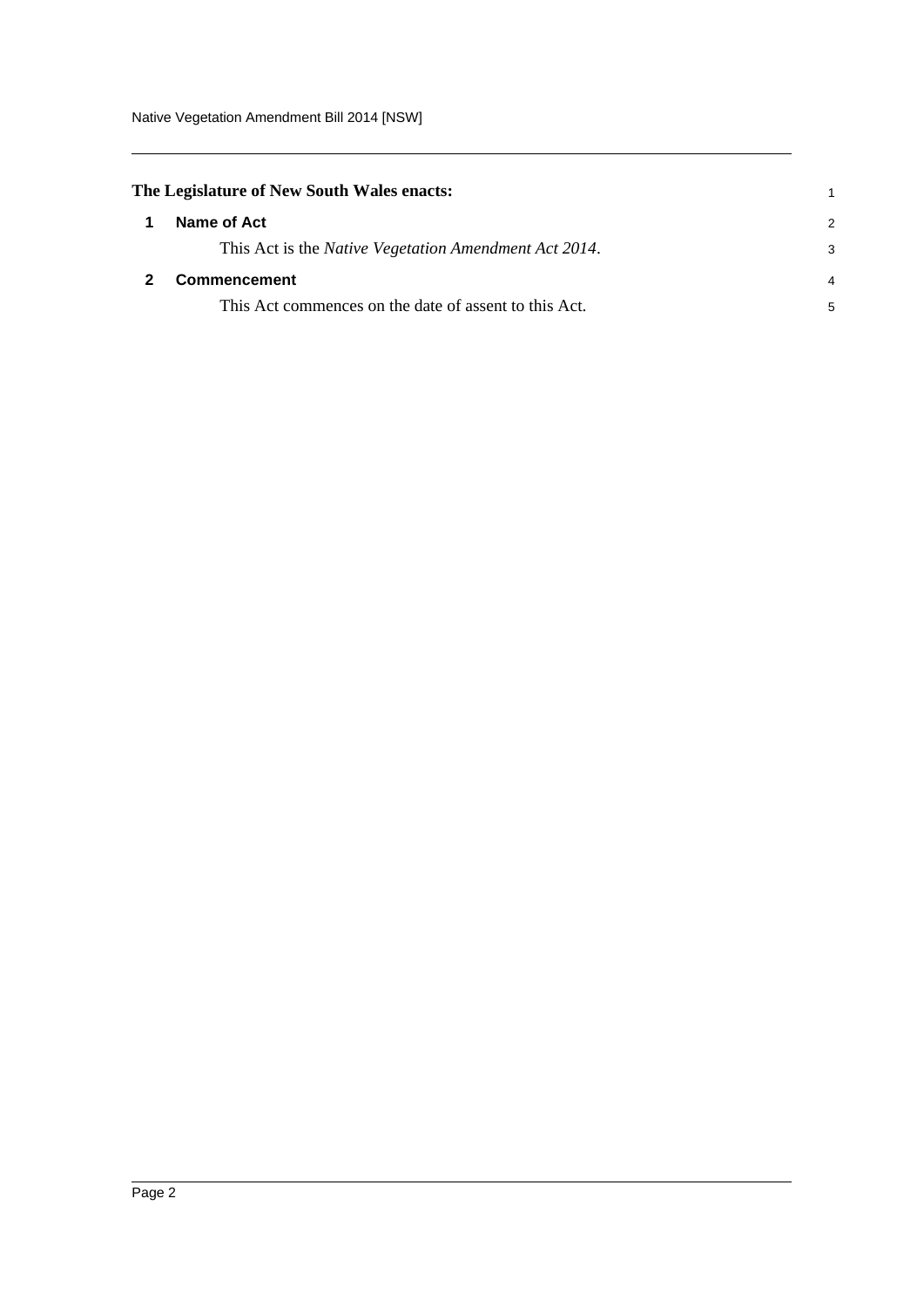<span id="page-5-1"></span><span id="page-5-0"></span>

| The Legislature of New South Wales enacts:                    |               |
|---------------------------------------------------------------|---------------|
| Name of Act                                                   | $\mathcal{P}$ |
| This Act is the <i>Native Vegetation Amendment Act 2014</i> . | 3             |
| Commencement                                                  | 4             |
| This Act commences on the date of assent to this Act.         | 5             |
|                                                               |               |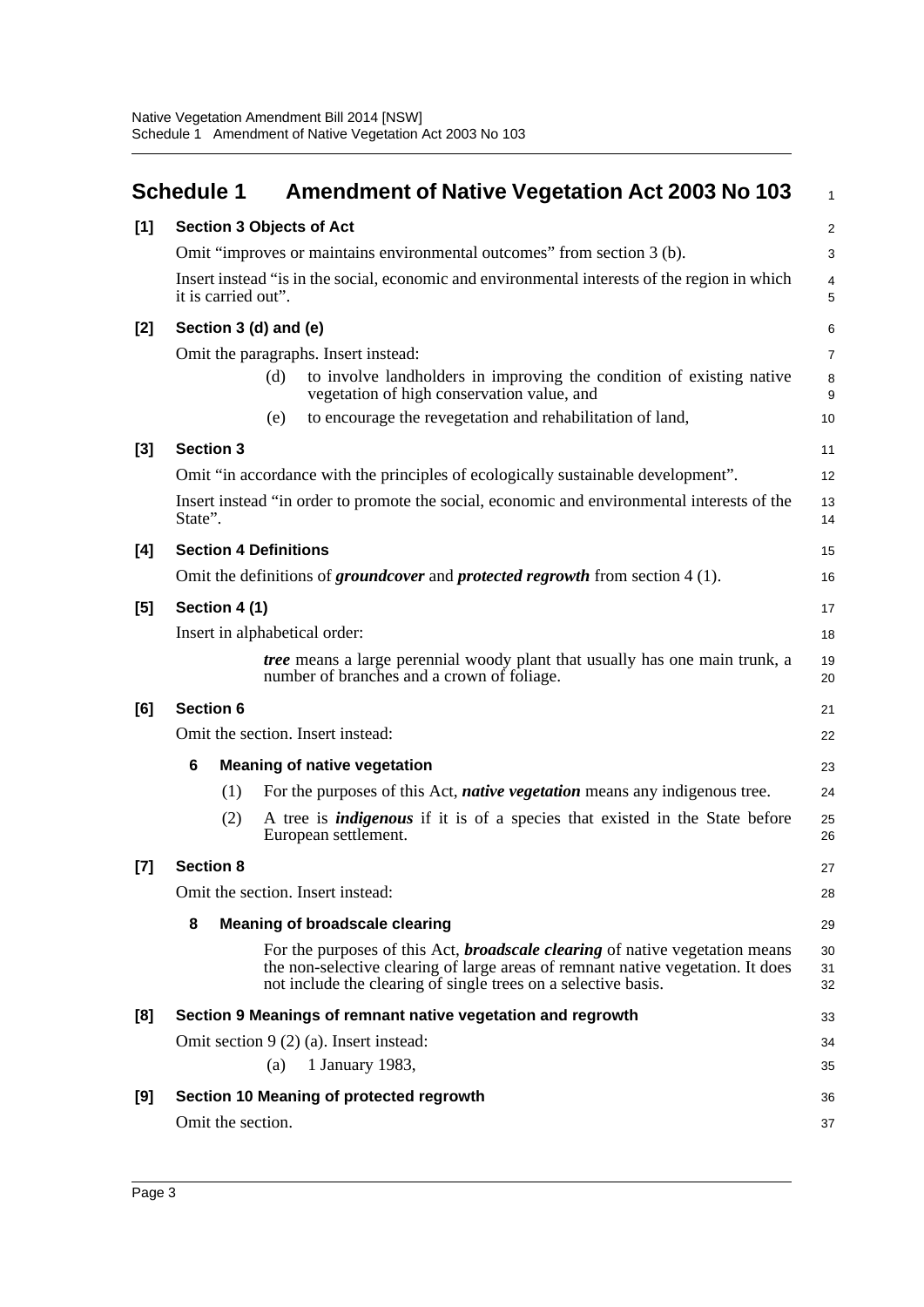<span id="page-6-0"></span>

|       | <b>Schedule 1</b>               |     | <b>Amendment of Native Vegetation Act 2003 No 103</b>                                                                                                                                                                                    | $\mathbf{1}$        |
|-------|---------------------------------|-----|------------------------------------------------------------------------------------------------------------------------------------------------------------------------------------------------------------------------------------------|---------------------|
| $[1]$ | <b>Section 3 Objects of Act</b> |     |                                                                                                                                                                                                                                          | $\overline{2}$      |
|       |                                 |     | Omit "improves or maintains environmental outcomes" from section 3 (b).                                                                                                                                                                  | 3                   |
|       | it is carried out".             |     | Insert instead "is in the social, economic and environmental interests of the region in which                                                                                                                                            | $\overline{4}$<br>5 |
| $[2]$ | Section 3 (d) and (e)           |     |                                                                                                                                                                                                                                          |                     |
|       |                                 |     | Omit the paragraphs. Insert instead:                                                                                                                                                                                                     | $\overline{7}$      |
|       |                                 | (d) | to involve landholders in improving the condition of existing native<br>vegetation of high conservation value, and                                                                                                                       | 8<br>9              |
|       |                                 | (e) | to encourage the revegetation and rehabilitation of land,                                                                                                                                                                                | 10                  |
| $[3]$ | <b>Section 3</b>                |     |                                                                                                                                                                                                                                          | 11                  |
|       |                                 |     | Omit "in accordance with the principles of ecologically sustainable development".                                                                                                                                                        | 12                  |
|       | State".                         |     | Insert instead "in order to promote the social, economic and environmental interests of the                                                                                                                                              | 13<br>14            |
| [4]   | <b>Section 4 Definitions</b>    |     |                                                                                                                                                                                                                                          | 15                  |
|       |                                 |     | Omit the definitions of <i>groundcover</i> and <i>protected regrowth</i> from section 4 (1).                                                                                                                                             | 16                  |
| [5]   | Section 4 (1)                   |     |                                                                                                                                                                                                                                          | 17                  |
|       | Insert in alphabetical order:   |     |                                                                                                                                                                                                                                          | 18                  |
|       |                                 |     | <i>tree</i> means a large perennial woody plant that usually has one main trunk, a<br>number of branches and a crown of foliage.                                                                                                         | 19<br>20            |
| [6]   | <b>Section 6</b>                |     |                                                                                                                                                                                                                                          | 21                  |
|       |                                 |     | Omit the section. Insert instead:                                                                                                                                                                                                        | 22                  |
|       | 6                               |     | <b>Meaning of native vegetation</b>                                                                                                                                                                                                      | 23                  |
|       | (1)                             |     | For the purposes of this Act, <i>native vegetation</i> means any indigenous tree.                                                                                                                                                        | 24                  |
|       | (2)                             |     | A tree is <i>indigenous</i> if it is of a species that existed in the State before<br>European settlement.                                                                                                                               | 25<br>26            |
| [7]   | <b>Section 8</b>                |     |                                                                                                                                                                                                                                          | 27                  |
|       |                                 |     | Omit the section. Insert instead:                                                                                                                                                                                                        | 28                  |
|       | 8                               |     | <b>Meaning of broadscale clearing</b>                                                                                                                                                                                                    | 29                  |
|       |                                 |     | For the purposes of this Act, <b>broadscale clearing</b> of native vegetation means<br>the non-selective clearing of large areas of remnant native vegetation. It does<br>not include the clearing of single trees on a selective basis. | 30<br>31<br>32      |
| [8]   |                                 |     | Section 9 Meanings of remnant native vegetation and regrowth                                                                                                                                                                             | 33                  |
|       |                                 |     | Omit section 9 (2) (a). Insert instead:                                                                                                                                                                                                  | 34                  |
|       |                                 | (a) | 1 January 1983,                                                                                                                                                                                                                          | 35                  |
| [9]   |                                 |     | Section 10 Meaning of protected regrowth                                                                                                                                                                                                 | 36                  |
|       | Omit the section.               |     |                                                                                                                                                                                                                                          | 37                  |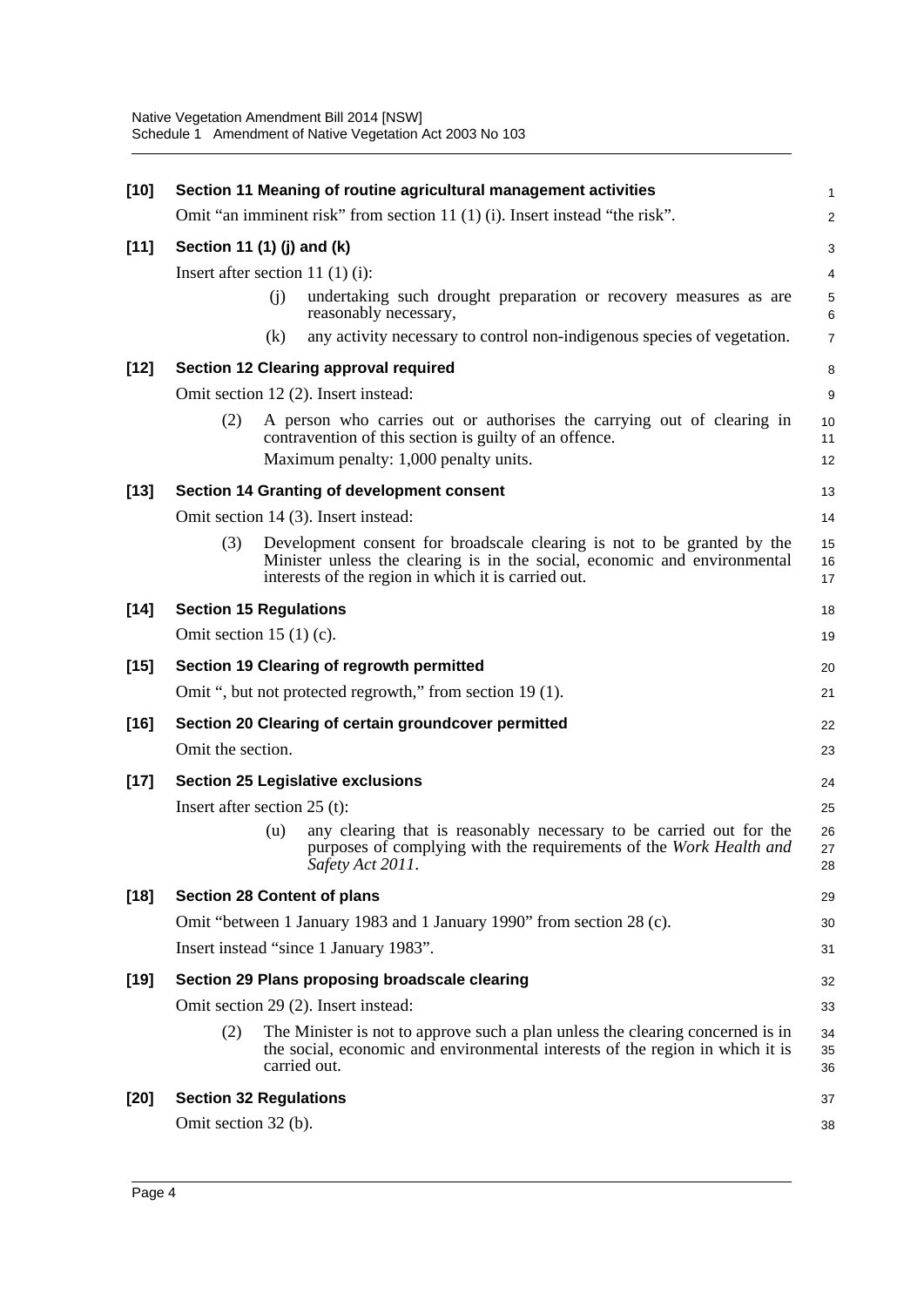| $[10]$ |                                                      |     | Section 11 Meaning of routine agricultural management activities                                                                                                                                            | $\mathbf{1}$   |
|--------|------------------------------------------------------|-----|-------------------------------------------------------------------------------------------------------------------------------------------------------------------------------------------------------------|----------------|
|        |                                                      |     | Omit "an imminent risk" from section 11 (1) (i). Insert instead "the risk".                                                                                                                                 | $\overline{2}$ |
| $[11]$ | Section 11 (1) (j) and (k)                           |     |                                                                                                                                                                                                             | 3              |
|        | Insert after section 11 $(1)(i)$ :                   |     |                                                                                                                                                                                                             | 4              |
|        |                                                      | (i) | undertaking such drought preparation or recovery measures as are<br>reasonably necessary,                                                                                                                   | 5<br>6         |
|        |                                                      | (k) | any activity necessary to control non-indigenous species of vegetation.                                                                                                                                     | $\overline{7}$ |
| $[12]$ |                                                      |     | <b>Section 12 Clearing approval required</b>                                                                                                                                                                | 8              |
|        |                                                      |     | Omit section 12 (2). Insert instead:                                                                                                                                                                        | 9              |
|        | (2)                                                  |     | A person who carries out or authorises the carrying out of clearing in<br>contravention of this section is guilty of an offence.                                                                            | 10<br>11       |
|        |                                                      |     | Maximum penalty: 1,000 penalty units.                                                                                                                                                                       | 12             |
| $[13]$ |                                                      |     | Section 14 Granting of development consent                                                                                                                                                                  | 13             |
|        |                                                      |     | Omit section 14 (3). Insert instead:                                                                                                                                                                        | 14             |
|        | (3)                                                  |     | Development consent for broadscale clearing is not to be granted by the<br>Minister unless the clearing is in the social, economic and environmental<br>interests of the region in which it is carried out. | 15<br>16<br>17 |
| $[14]$ | <b>Section 15 Regulations</b>                        |     |                                                                                                                                                                                                             | 18             |
|        | Omit section 15 $(1)(c)$ .                           |     |                                                                                                                                                                                                             | 19             |
| $[15]$ |                                                      |     | Section 19 Clearing of regrowth permitted                                                                                                                                                                   | 20             |
|        |                                                      |     | Omit ", but not protected regrowth," from section 19 (1).                                                                                                                                                   | 21             |
| $[16]$ | Section 20 Clearing of certain groundcover permitted |     | 22                                                                                                                                                                                                          |                |
|        | Omit the section.                                    |     |                                                                                                                                                                                                             | 23             |
| $[17]$ |                                                      |     | <b>Section 25 Legislative exclusions</b>                                                                                                                                                                    | 24             |
|        | Insert after section $25$ (t):                       |     |                                                                                                                                                                                                             | 25             |
|        |                                                      | (u) | any clearing that is reasonably necessary to be carried out for the<br>purposes of complying with the requirements of the Work Health and<br>Safety Act 2011.                                               | 26<br>27<br>28 |
| $[18]$ |                                                      |     | <b>Section 28 Content of plans</b>                                                                                                                                                                          | 29             |
|        |                                                      |     | Omit "between 1 January 1983 and 1 January 1990" from section 28 (c).                                                                                                                                       | 30             |
|        | Insert instead "since 1 January 1983".               |     |                                                                                                                                                                                                             | 31             |
| $[19]$ |                                                      |     | Section 29 Plans proposing broadscale clearing                                                                                                                                                              | 32             |
|        |                                                      |     | Omit section 29 (2). Insert instead:                                                                                                                                                                        | 33             |
|        | (2)                                                  |     | The Minister is not to approve such a plan unless the clearing concerned is in<br>the social, economic and environmental interests of the region in which it is<br>carried out.                             | 34<br>35<br>36 |
| $[20]$ | <b>Section 32 Regulations</b>                        |     |                                                                                                                                                                                                             | 37             |
|        | Omit section 32 (b).                                 |     |                                                                                                                                                                                                             | 38             |
|        |                                                      |     |                                                                                                                                                                                                             |                |